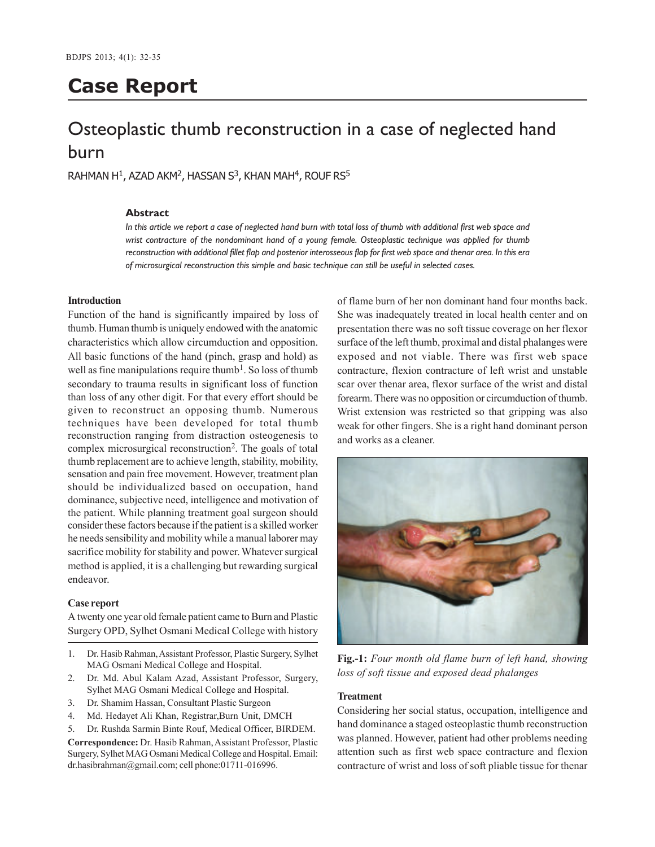# **Case Report**

## Osteoplastic thumb reconstruction in a case of neglected hand burn

 $RAHMAN H<sup>1</sup>$ , AZAD AKM<sup>2</sup>, HASSAN S<sup>3</sup>, KHAN MAH<sup>4</sup>, ROUF RS<sup>5</sup>

## **Abstract**

*In this article we report a case of neglected hand burn with total loss of thumb with additional first web space and wrist contracture of the nondominant hand of a young female. Osteoplastic technique was applied for thumb reconstruction with additional fillet flap and posterior interosseous flap for first web space and thenar area. In this era of microsurgical reconstruction this simple and basic technique can still be useful in selected cases.*

## **Introduction**

Function of the hand is significantly impaired by loss of thumb. Human thumb is uniquely endowed with the anatomic characteristics which allow circumduction and opposition. All basic functions of the hand (pinch, grasp and hold) as well as fine manipulations require thumb<sup>1</sup>. So loss of thumb secondary to trauma results in significant loss of function than loss of any other digit. For that every effort should be given to reconstruct an opposing thumb. Numerous techniques have been developed for total thumb reconstruction ranging from distraction osteogenesis to complex microsurgical reconstruction<sup>2</sup>. The goals of total thumb replacement are to achieve length, stability, mobility, sensation and pain free movement. However, treatment plan should be individualized based on occupation, hand dominance, subjective need, intelligence and motivation of the patient. While planning treatment goal surgeon should consider these factors because if the patient is a skilled worker he needs sensibility and mobility while a manual laborer may sacrifice mobility for stability and power. Whatever surgical method is applied, it is a challenging but rewarding surgical endeavor.

#### **Case report**

A twenty one year old female patient came to Burn and Plastic Surgery OPD, Sylhet Osmani Medical College with history

- 1. Dr. Hasib Rahman, Assistant Professor, Plastic Surgery, Sylhet MAG Osmani Medical College and Hospital.
- 2. Dr. Md. Abul Kalam Azad, Assistant Professor, Surgery, Sylhet MAG Osmani Medical College and Hospital.
- 3. Dr. Shamim Hassan, Consultant Plastic Surgeon
- 4. Md. Hedayet Ali Khan, Registrar,Burn Unit, DMCH
- 5. Dr. Rushda Sarmin Binte Rouf, Medical Officer, BIRDEM.

**Correspondence:** Dr. Hasib Rahman, Assistant Professor, Plastic Surgery, Sylhet MAG Osmani Medical College and Hospital. Email: dr.hasibrahman@gmail.com; cell phone:01711-016996.

of flame burn of her non dominant hand four months back. She was inadequately treated in local health center and on presentation there was no soft tissue coverage on her flexor surface of the left thumb, proximal and distal phalanges were exposed and not viable. There was first web space contracture, flexion contracture of left wrist and unstable scar over thenar area, flexor surface of the wrist and distal forearm. There was no opposition or circumduction of thumb. Wrist extension was restricted so that gripping was also weak for other fingers. She is a right hand dominant person and works as a cleaner.



**Fig.-1:** *Four month old flame burn of left hand, showing loss of soft tissue and exposed dead phalanges*

#### **Treatment**

Considering her social status, occupation, intelligence and hand dominance a staged osteoplastic thumb reconstruction was planned. However, patient had other problems needing attention such as first web space contracture and flexion contracture of wrist and loss of soft pliable tissue for thenar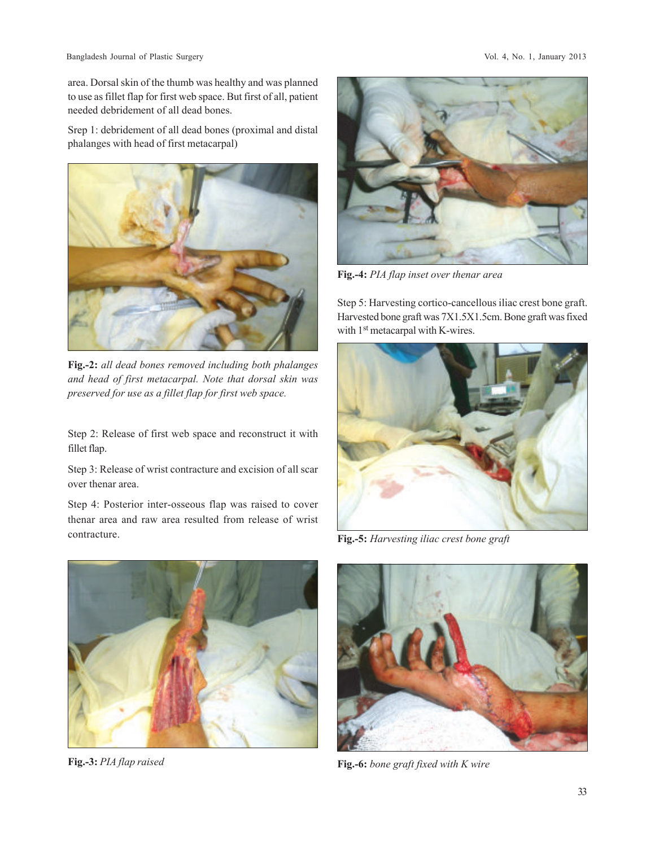Bangladesh Journal of Plastic Surgery Vol. 4, No. 1, January 2013

area. Dorsal skin of the thumb was healthy and was planned to use as fillet flap for first web space. But first of all, patient needed debridement of all dead bones.

Srep 1: debridement of all dead bones (proximal and distal phalanges with head of first metacarpal)



**Fig.-2:** *all dead bones removed including both phalanges and head of first metacarpal. Note that dorsal skin was preserved for use as a fillet flap for first web space.*

Step 2: Release of first web space and reconstruct it with fillet flap.

Step 3: Release of wrist contracture and excision of all scar over thenar area.

Step 4: Posterior inter-osseous flap was raised to cover thenar area and raw area resulted from release of wrist contracture.



**Fig.-3:** *PIA flap raised*



**Fig.-4:** *PIA flap inset over thenar area*

Step 5: Harvesting cortico-cancellous iliac crest bone graft. Harvested bone graft was 7X1.5X1.5cm. Bone graft was fixed with 1<sup>st</sup> metacarpal with K-wires.



**Fig.-5:** *Harvesting iliac crest bone graft*



**Fig.-6:** *bone graft fixed with K wire*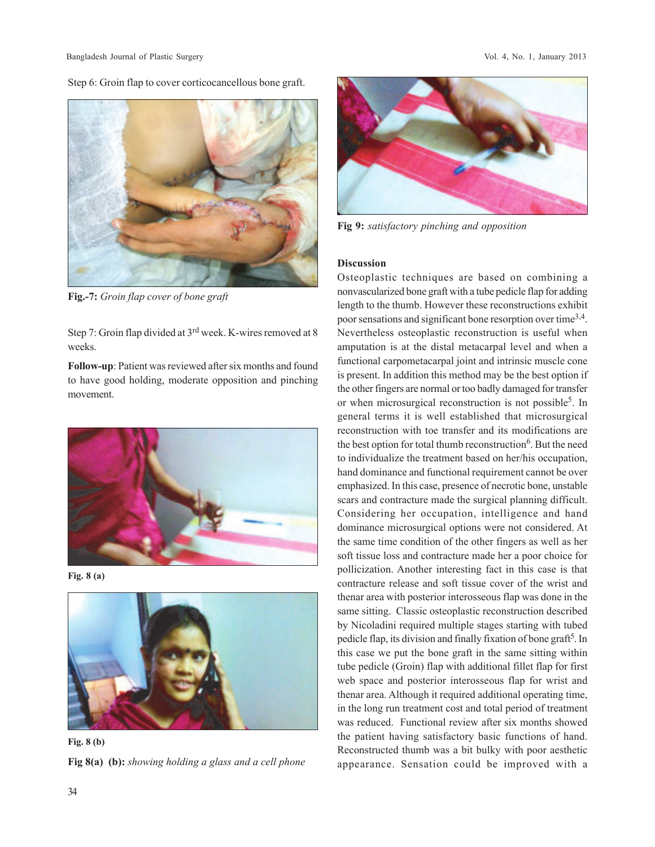Step 6: Groin flap to cover corticocancellous bone graft.



**Fig.-7:** *Groin flap cover of bone graft*

Step 7: Groin flap divided at 3rd week. K-wires removed at 8 weeks.

**Follow-up**: Patient was reviewed after six months and found to have good holding, moderate opposition and pinching movement.



**Fig. 8 (a)**



**Fig 8(a) (b):** *showing holding a glass and a cell phone* **Fig. 8 (b)**



**Fig 9:** *satisfactory pinching and opposition*

## **Discussion**

Osteoplastic techniques are based on combining a nonvascularized bone graft with a tube pedicle flap for adding length to the thumb. However these reconstructions exhibit poor sensations and significant bone resorption over time<sup>3,4</sup>. Nevertheless osteoplastic reconstruction is useful when amputation is at the distal metacarpal level and when a functional carpometacarpal joint and intrinsic muscle cone is present. In addition this method may be the best option if the other fingers are normal or too badly damaged for transfer or when microsurgical reconstruction is not possible<sup>5</sup>. In general terms it is well established that microsurgical reconstruction with toe transfer and its modifications are the best option for total thumb reconstruction<sup>6</sup>. But the need to individualize the treatment based on her/his occupation, hand dominance and functional requirement cannot be over emphasized. In this case, presence of necrotic bone, unstable scars and contracture made the surgical planning difficult. Considering her occupation, intelligence and hand dominance microsurgical options were not considered. At the same time condition of the other fingers as well as her soft tissue loss and contracture made her a poor choice for pollicization. Another interesting fact in this case is that contracture release and soft tissue cover of the wrist and thenar area with posterior interosseous flap was done in the same sitting. Classic osteoplastic reconstruction described by Nicoladini required multiple stages starting with tubed pedicle flap, its division and finally fixation of bone graft<sup>5</sup>. In this case we put the bone graft in the same sitting within tube pedicle (Groin) flap with additional fillet flap for first web space and posterior interosseous flap for wrist and thenar area. Although it required additional operating time, in the long run treatment cost and total period of treatment was reduced. Functional review after six months showed the patient having satisfactory basic functions of hand. Reconstructed thumb was a bit bulky with poor aesthetic appearance. Sensation could be improved with a